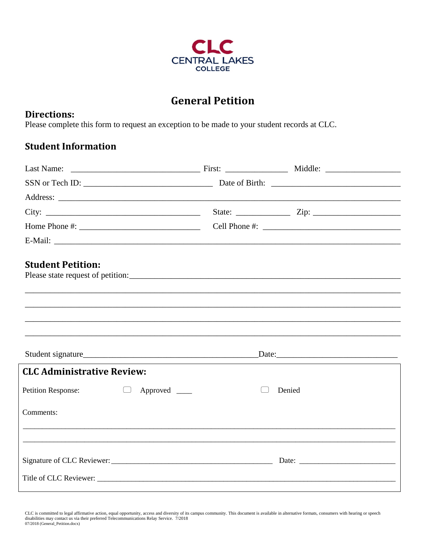

## **General Petition**

## **Directions:**

Please complete this form to request an exception to be made to your student records at CLC.

## **Student Information**

| Home Phone #: $\frac{1}{2}$ = $\frac{1}{2}$ = $\frac{1}{2}$ = $\frac{1}{2}$ = $\frac{1}{2}$ = $\frac{1}{2}$ = $\frac{1}{2}$ = $\frac{1}{2}$ = $\frac{1}{2}$ = $\frac{1}{2}$ = $\frac{1}{2}$ = $\frac{1}{2}$ = $\frac{1}{2}$ = $\frac{1}{2}$ = $\frac{1}{2}$ = $\frac{1}{2}$ = $\frac{1}{2}$ = $\frac$ |        |
|-------------------------------------------------------------------------------------------------------------------------------------------------------------------------------------------------------------------------------------------------------------------------------------------------------|--------|
|                                                                                                                                                                                                                                                                                                       |        |
| <b>Student Petition:</b>                                                                                                                                                                                                                                                                              |        |
|                                                                                                                                                                                                                                                                                                       |        |
|                                                                                                                                                                                                                                                                                                       |        |
|                                                                                                                                                                                                                                                                                                       |        |
|                                                                                                                                                                                                                                                                                                       |        |
| <b>CLC Administrative Review:</b>                                                                                                                                                                                                                                                                     |        |
| <b>Petition Response:</b><br>$\Box$<br>Approved _______                                                                                                                                                                                                                                               | Denied |
| Comments:                                                                                                                                                                                                                                                                                             |        |
|                                                                                                                                                                                                                                                                                                       |        |
|                                                                                                                                                                                                                                                                                                       |        |
|                                                                                                                                                                                                                                                                                                       |        |

CLC is committed to legal affirmative action, equal opportunity, access and diversity of its campus community. This document is available in alternative formats, consumers with hearing or speech<br>disabilities may contact us